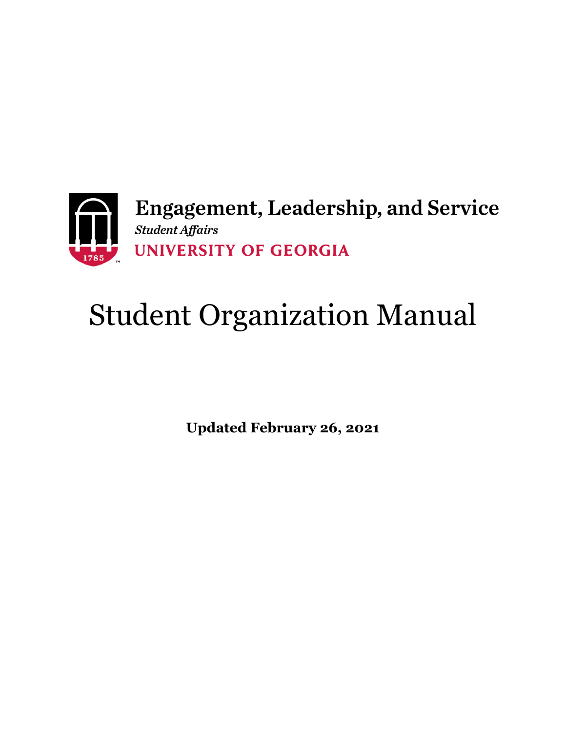

# Student Organization Manual

**Updated February 26, 2021**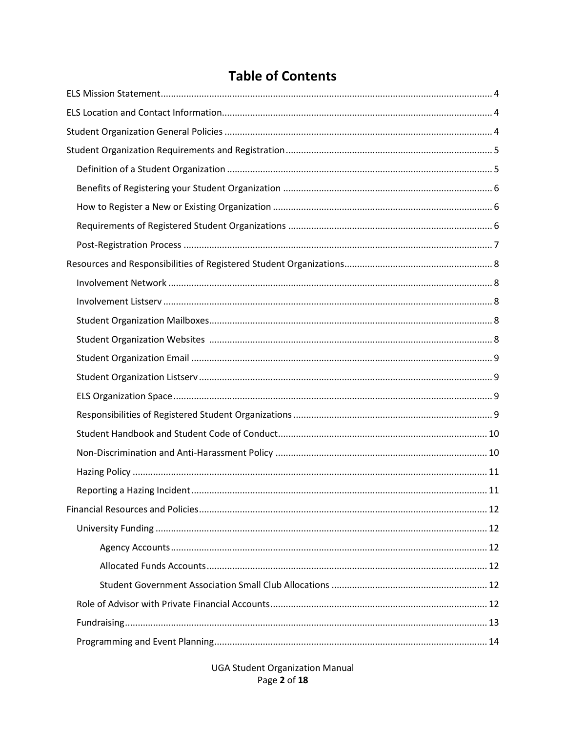# **Table of Contents**

**UGA Student Organization Manual** Page 2 of 18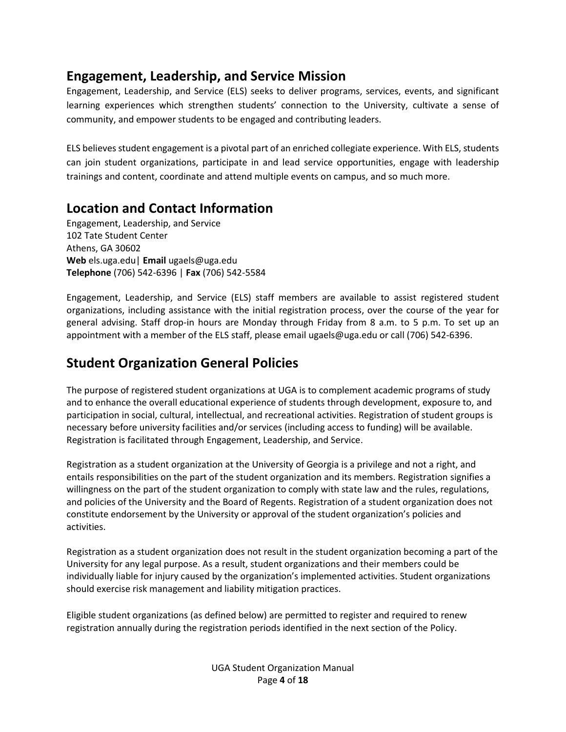# **Engagement, Leadership, and Service Mission**

Engagement, Leadership, and Service (ELS) seeks to deliver programs, services, events, and significant learning experiences which strengthen students' connection to the University, cultivate a sense of community, and empower students to be engaged and contributing leaders.

ELS believes student engagement is a pivotal part of an enriched collegiate experience. With ELS, students can join student organizations, participate in and lead service opportunities, engage with leadership trainings and content, coordinate and attend multiple events on campus, and so much more.

# **Location and Contact Information**

Engagement, Leadership, and Service 102 Tate Student Center Athens, GA 30602 **Web** els.uga.edu| **Email** ugaels@uga.edu **Telephone** (706) 542-6396 | **Fax** (706) 542-5584

Engagement, Leadership, and Service (ELS) staff members are available to assist registered student organizations, including assistance with the initial registration process, over the course of the year for general advising. Staff drop-in hours are Monday through Friday from 8 a.m. to 5 p.m. To set up an appointment with a member of the ELS staff, please email ugaels@uga.edu or call (706) 542-6396.

# **Student Organization General Policies**

The purpose of registered student organizations at UGA is to complement academic programs of study and to enhance the overall educational experience of students through development, exposure to, and participation in social, cultural, intellectual, and recreational activities. Registration of student groups is necessary before university facilities and/or services (including access to funding) will be available. Registration is facilitated through Engagement, Leadership, and Service.

Registration as a student organization at the University of Georgia is a privilege and not a right, and entails responsibilities on the part of the student organization and its members. Registration signifies a willingness on the part of the student organization to comply with state law and the rules, regulations, and policies of the University and the Board of Regents. Registration of a student organization does not constitute endorsement by the University or approval of the student organization's policies and activities.

Registration as a student organization does not result in the student organization becoming a part of the University for any legal purpose. As a result, student organizations and their members could be individually liable for injury caused by the organization's implemented activities. Student organizations should exercise risk management and liability mitigation practices.

Eligible student organizations (as defined below) are permitted to register and required to renew registration annually during the registration periods identified in the next section of the Policy.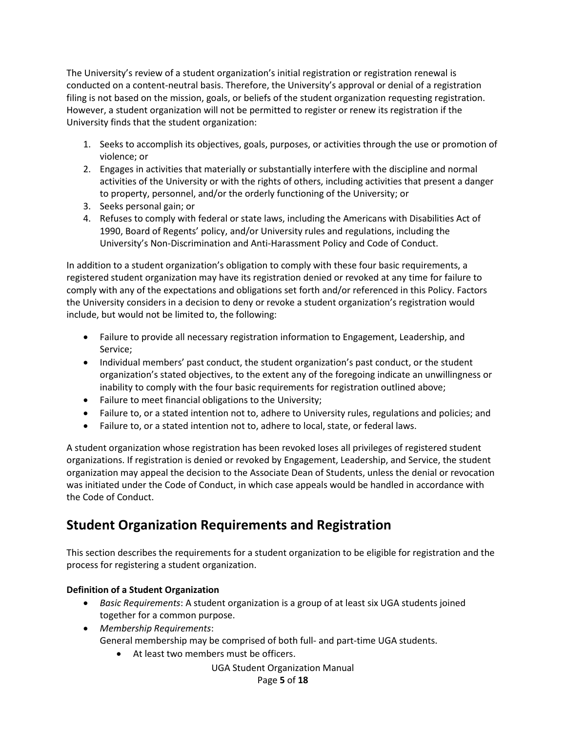The University's review of a student organization's initial registration or registration renewal is conducted on a content-neutral basis. Therefore, the University's approval or denial of a registration filing is not based on the mission, goals, or beliefs of the student organization requesting registration. However, a student organization will not be permitted to register or renew its registration if the University finds that the student organization:

- 1. Seeks to accomplish its objectives, goals, purposes, or activities through the use or promotion of violence; or
- 2. Engages in activities that materially or substantially interfere with the discipline and normal activities of the University or with the rights of others, including activities that present a danger to property, personnel, and/or the orderly functioning of the University; or
- 3. Seeks personal gain; or
- 4. Refuses to comply with federal or state laws, including the Americans with Disabilities Act of 1990, Board of Regents' policy, and/or University rules and regulations, including the University's Non-Discrimination and Anti-Harassment Policy and Code of Conduct.

In addition to a student organization's obligation to comply with these four basic requirements, a registered student organization may have its registration denied or revoked at any time for failure to comply with any of the expectations and obligations set forth and/or referenced in this Policy. Factors the University considers in a decision to deny or revoke a student organization's registration would include, but would not be limited to, the following:

- Failure to provide all necessary registration information to Engagement, Leadership, and Service;
- Individual members' past conduct, the student organization's past conduct, or the student organization's stated objectives, to the extent any of the foregoing indicate an unwillingness or inability to comply with the four basic requirements for registration outlined above;
- Failure to meet financial obligations to the University;
- Failure to, or a stated intention not to, adhere to University rules, regulations and policies; and
- Failure to, or a stated intention not to, adhere to local, state, or federal laws.

A student organization whose registration has been revoked loses all privileges of registered student organizations. If registration is denied or revoked by Engagement, Leadership, and Service, the student organization may appeal the decision to the Associate Dean of Students, unless the denial or revocation was initiated under the Code of Conduct, in which case appeals would be handled in accordance with the Code of Conduct.

# **Student Organization Requirements and Registration**

This section describes the requirements for a student organization to be eligible for registration and the process for registering a student organization.

# **Definition of a Student Organization**

- *Basic Requirements*: A student organization is a group of at least six UGA students joined together for a common purpose.
- *Membership Requirements*: General membership may be comprised of both full- and part-time UGA students.
	- At least two members must be officers.

UGA Student Organization Manual

Page **5** of **18**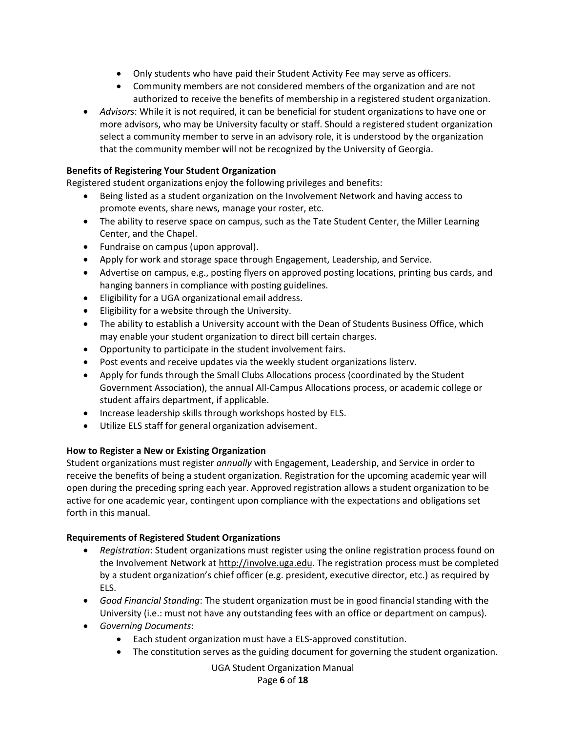- Only students who have paid their Student Activity Fee may serve as officers.
- Community members are not considered members of the organization and are not authorized to receive the benefits of membership in a registered student organization.
- *Advisors*: While it is not required, it can be beneficial for student organizations to have one or more advisors, who may be University faculty or staff. Should a registered student organization select a community member to serve in an advisory role, it is understood by the organization that the community member will not be recognized by the University of Georgia.

# **Benefits of Registering Your Student Organization**

Registered student organizations enjoy the following privileges and benefits:

- Being listed as a student organization on the Involvement Network and having access to promote events, share news, manage your roster, etc.
- The ability to reserve space on campus, such as the Tate Student Center, the Miller Learning Center, and the Chapel.
- Fundraise on campus (upon approval).
- Apply for work and storage space through Engagement, Leadership, and Service.
- Advertise on campus, e.g., posting flyers on approved posting locations, printing bus cards, and hanging banners in compliance with posting guidelines.
- Eligibility for a UGA organizational email address.
- Eligibility for a website through the University.
- The ability to establish a University account with the Dean of Students Business Office, which may enable your student organization to direct bill certain charges.
- Opportunity to participate in the student involvement fairs.
- Post events and receive updates via the weekly student organizations listerv.
- Apply for funds through the Small Clubs Allocations process (coordinated by the Student Government Association), the annual All-Campus Allocations process, or academic college or student affairs department, if applicable.
- Increase leadership skills through workshops hosted by ELS.
- Utilize ELS staff for general organization advisement.

# **How to Register a New or Existing Organization**

Student organizations must register *annually* with Engagement, Leadership, and Service in order to receive the benefits of being a student organization. Registration for the upcoming academic year will open during the preceding spring each year. Approved registration allows a student organization to be active for one academic year, contingent upon compliance with the expectations and obligations set forth in this manual.

# **Requirements of Registered Student Organizations**

- *Registration*: Student organizations must register using the online registration process found on the Involvement Network a[t http://involve.uga.edu.](http://involve.uga.edu/) The registration process must be completed by a student organization's chief officer (e.g. president, executive director, etc.) as required by ELS.
- *Good Financial Standing*: The student organization must be in good financial standing with the University (i.e.: must not have any outstanding fees with an office or department on campus).
- *Governing Documents*:
	- Each student organization must have a ELS-approved constitution.
	- The constitution serves as the guiding document for governing the student organization.

# UGA Student Organization Manual

#### Page **6** of **18**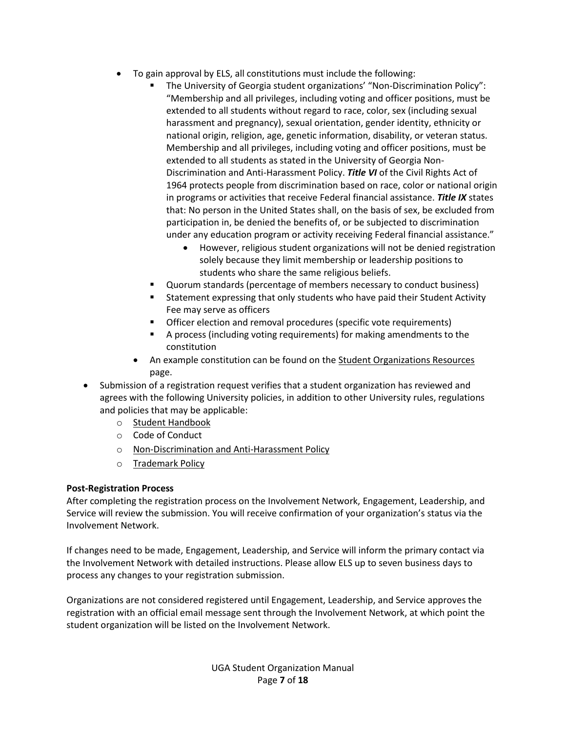- To gain approval by ELS, all constitutions must include the following:
	- The University of Georgia student organizations' "Non-Discrimination Policy": "Membership and all privileges, including voting and officer positions, must be extended to all students without regard to race, color, sex (including sexual harassment and pregnancy), sexual orientation, gender identity, ethnicity or national origin, religion, age, genetic information, disability, or veteran status. Membership and all privileges, including voting and officer positions, must be extended to all students as stated in the University of Georgia Non-Discrimination and Anti-Harassment Policy. *Title VI* of the Civil Rights Act of 1964 protects people from discrimination based on race, color or national origin in programs or activities that receive Federal financial assistance. *Title IX* states that: No person in the United States shall, on the basis of sex, be excluded from participation in, be denied the benefits of, or be subjected to discrimination under any education program or activity receiving Federal financial assistance."
		- However, religious student organizations will not be denied registration solely because they limit membership or leadership positions to students who share the same religious beliefs.
	- Quorum standards (percentage of members necessary to conduct business)
	- Statement expressing that only students who have paid their Student Activity Fee may serve as officers
	- Officer election and removal procedures (specific vote requirements)
	- A process (including voting requirements) for making amendments to the constitution
	- An example constitution can be found on the [Student Organizations Resources](https://els.uga.edu/engagement/organization-resources/) page.
- Submission of a registration request verifies that a student organization has reviewed and agrees with the following University policies, in addition to other University rules, regulations and policies that may be applicable:
	- o [Student Handbook](http://dos.uga.edu/content_page/welcome-uga-student-handbook)
	- o Code of Conduct
	- o [Non-Discrimination and Anti-Harassment Policy](https://eoo.uga.edu/policies/non-discrimination-anti-harassment-policy)
	- o [Trademark Policy](https://mc.uga.edu/policy/trademark)

# **Post-Registration Process**

After completing the registration process on the Involvement Network, Engagement, Leadership, and Service will review the submission. You will receive confirmation of your organization's status via the Involvement Network.

If changes need to be made, Engagement, Leadership, and Service will inform the primary contact via the Involvement Network with detailed instructions. Please allow ELS up to seven business days to process any changes to your registration submission.

Organizations are not considered registered until Engagement, Leadership, and Service approves the registration with an official email message sent through the Involvement Network, at which point the student organization will be listed on the Involvement Network.

> UGA Student Organization Manual Page **7** of **18**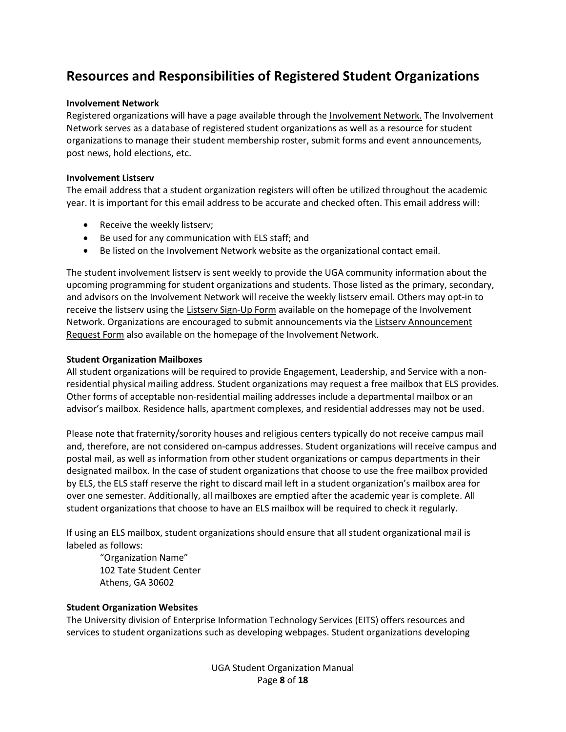# **Resources and Responsibilities of Registered Student Organizations**

#### **Involvement Network**

Registered organizations will have a page available through the [Involvement Network.](https://uga.campuslabs.com/engage/) The Involvement Network serves as a database of registered student organizations as well as a resource for student organizations to manage their student membership roster, submit forms and event announcements, post news, hold elections, etc.

#### **Involvement Listserv**

The email address that a student organization registers will often be utilized throughout the academic year. It is important for this email address to be accurate and checked often. This email address will:

- Receive the weekly listserv;
- Be used for any communication with ELS staff; and
- Be listed on the Involvement Network website as the organizational contact email.

The student involvement listserv is sent weekly to provide the UGA community information about the upcoming programming for student organizations and students. Those listed as the primary, secondary, and advisors on the Involvement Network will receive the weekly listserv email. Others may opt-in to receive the listserv using the [Listserv Sign-Up Form](https://uga.campuslabs.com/engage/submitter/form/start/404967) available on the homepage of the Involvement Network. Organizations are encouraged to submit announcements via th[e Listserv Announcement](https://uga.campuslabs.com/engage/submitter/form/start/409284)  [Request Form](https://uga.campuslabs.com/engage/submitter/form/start/409284) also available on the homepage of the Involvement Network.

## **Student Organization Mailboxes**

All student organizations will be required to provide Engagement, Leadership, and Service with a nonresidential physical mailing address. Student organizations may request a free mailbox that ELS provides. Other forms of acceptable non-residential mailing addresses include a departmental mailbox or an advisor's mailbox. Residence halls, apartment complexes, and residential addresses may not be used.

Please note that fraternity/sorority houses and religious centers typically do not receive campus mail and, therefore, are not considered on-campus addresses. Student organizations will receive campus and postal mail, as well as information from other student organizations or campus departments in their designated mailbox. In the case of student organizations that choose to use the free mailbox provided by ELS, the ELS staff reserve the right to discard mail left in a student organization's mailbox area for over one semester. Additionally, all mailboxes are emptied after the academic year is complete. All student organizations that choose to have an ELS mailbox will be required to check it regularly.

If using an ELS mailbox, student organizations should ensure that all student organizational mail is labeled as follows:

"Organization Name" 102 Tate Student Center Athens, GA 30602

# **Student Organization Websites**

The University division of Enterprise Information Technology Services (EITS) offers resources and services to student organizations such as developing webpages. Student organizations developing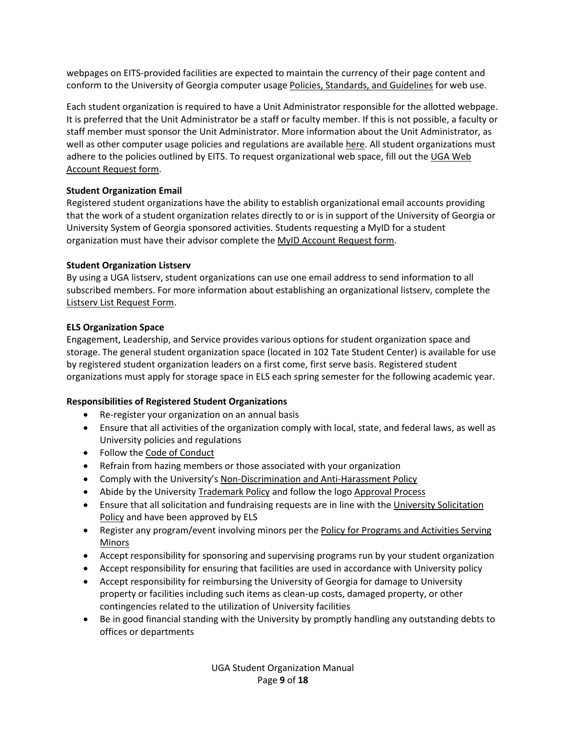webpages on EITS-provided facilities are expected to maintain the currency of their page content and conform to the University of Georgia computer usag[e Policies, Standards, and Guidelines](https://eits.uga.edu/access_and_security/infosec/pols_regs/policies/) for web use.

Each student organization is required to have a Unit Administrator responsible for the allotted webpage. It is preferred that the Unit Administrator be a staff or faculty member. If this is not possible, a faculty or staff member must sponsor the Unit Administrator. More information about the Unit Administrator, as well as other computer usage policies and regulations are available [here.](https://confluence.eits.uga.edu/display/HDSH/UGA+Web+Hosting+Standard+Service#UGAWebHostingStandardService-WhatistheUGAWebStandardHostingService) All student organizations must adhere to the policies outlined by EITS. To request organizational web space, fill out the UGA Web [Account Request form.](https://uga.teamdynamix.com/TDClient/Requests/ServiceDet?ID=9847)

# **Student Organization Email**

Registered student organizations have the ability to establish organizational email accounts providing that the work of a student organization relates directly to or is in support of the University of Georgia or University System of Georgia sponsored activities. Students requesting a MyID for a student organization must have their advisor complete the [MyID Account Request form.](https://uga.teamdynamix.com/TDClient/Requests/ServiceDet?ID=13358)

## **Student Organization Listserv**

By using a UGA listserv, student organizations can use one email address to send information to all subscribed members. For more information about establishing an organizational listserv, complete the [Listserv List Request Form.](https://listserv.uga.edu/request.html)

## **ELS Organization Space**

Engagement, Leadership, and Service provides various options for student organization space and storage. The general student organization space (located in 102 Tate Student Center) is available for use by registered student organization leaders on a first come, first serve basis. Registered student organizations must apply for storage space in ELS each spring semester for the following academic year.

# **Responsibilities of Registered Student Organizations**

- Re-register your organization on an annual basis
- Ensure that all activities of the organization comply with local, state, and federal laws, as well as University policies and regulations
- Follow the [Code of Conduct](https://conduct.uga.edu/content_page/code-of-conduct)
- Refrain from hazing members or those associated with your organization
- Comply with the University's [Non-Discrimination and Anti-Harassment Policy](https://eoo.uga.edu/policies/non-discrimination-anti-harassment-policy)
- Abide by the Universit[y Trademark Policy](https://mc.uga.edu/policy/trademark) and follow the logo [Approval](https://pr.studentaffairs.uga.edu/content_page/using-logos) Process
- Ensure that all solicitation and fundraising requests are in line with th[e University Solicitation](http://policies.uga.edu/FA/nodes/view/772/Solicitation)  [Policy](http://policies.uga.edu/FA/nodes/view/772/Solicitation) and have been approved by ELS
- Register any program/event involving minors per the Policy for Programs and Activities Serving [Minors](https://programsforminors.uga.edu/policy)
- Accept responsibility for sponsoring and supervising programs run by your student organization
- Accept responsibility for ensuring that facilities are used in accordance with University policy
- Accept responsibility for reimbursing the University of Georgia for damage to University property or facilities including such items as clean-up costs, damaged property, or other contingencies related to the utilization of University facilities
- Be in good financial standing with the University by promptly handling any outstanding debts to offices or departments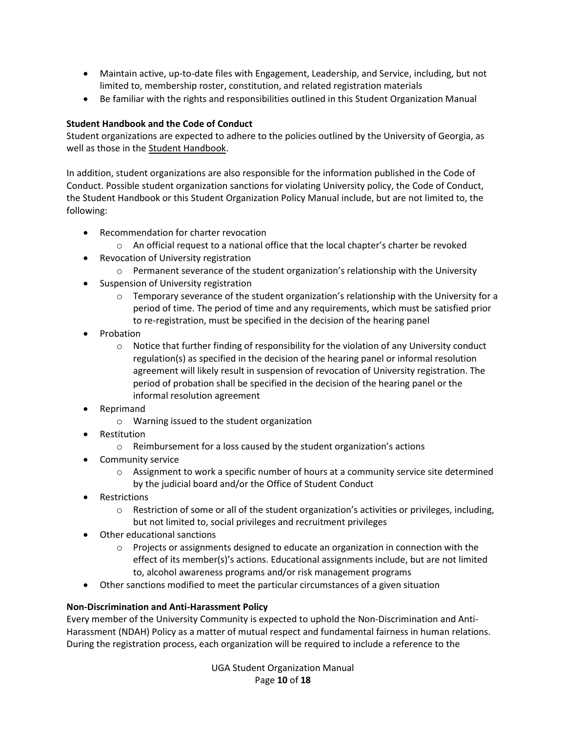- Maintain active, up-to-date files with Engagement, Leadership, and Service, including, but not limited to, membership roster, constitution, and related registration materials
- Be familiar with the rights and responsibilities outlined in this Student Organization Manual

# **Student Handbook and the Code of Conduct**

Student organizations are expected to adhere to the policies outlined by the University of Georgia, as well as those in th[e Student Handbook.](http://dos.uga.edu/content_page/welcome-uga-student-handbook)

In addition, student organizations are also responsible for the information published in the Code of Conduct. Possible student organization sanctions for violating University policy, the Code of Conduct, the Student Handbook or this Student Organization Policy Manual include, but are not limited to, the following:

- Recommendation for charter revocation
	- $\circ$  An official request to a national office that the local chapter's charter be revoked
- Revocation of University registration
	- $\circ$  Permanent severance of the student organization's relationship with the University
- Suspension of University registration
	- $\circ$  Temporary severance of the student organization's relationship with the University for a period of time. The period of time and any requirements, which must be satisfied prior to re-registration, must be specified in the decision of the hearing panel
- Probation
	- o Notice that further finding of responsibility for the violation of any University conduct regulation(s) as specified in the decision of the hearing panel or informal resolution agreement will likely result in suspension of revocation of University registration. The period of probation shall be specified in the decision of the hearing panel or the informal resolution agreement
- Reprimand
	- o Warning issued to the student organization
- **Restitution** 
	- o Reimbursement for a loss caused by the student organization's actions
- Community service
	- $\circ$  Assignment to work a specific number of hours at a community service site determined by the judicial board and/or the Office of Student Conduct
- Restrictions
	- $\circ$  Restriction of some or all of the student organization's activities or privileges, including, but not limited to, social privileges and recruitment privileges
- Other educational sanctions
	- $\circ$  Projects or assignments designed to educate an organization in connection with the effect of its member(s)'s actions. Educational assignments include, but are not limited to, alcohol awareness programs and/or risk management programs
- Other sanctions modified to meet the particular circumstances of a given situation

# **Non-Discrimination and Anti-Harassment Policy**

Every member of the University Community is expected to uphold the Non-Discrimination and Anti-Harassment (NDAH) Policy as a matter of mutual respect and fundamental fairness in human relations. During the registration process, each organization will be required to include a reference to the

> UGA Student Organization Manual Page **10** of **18**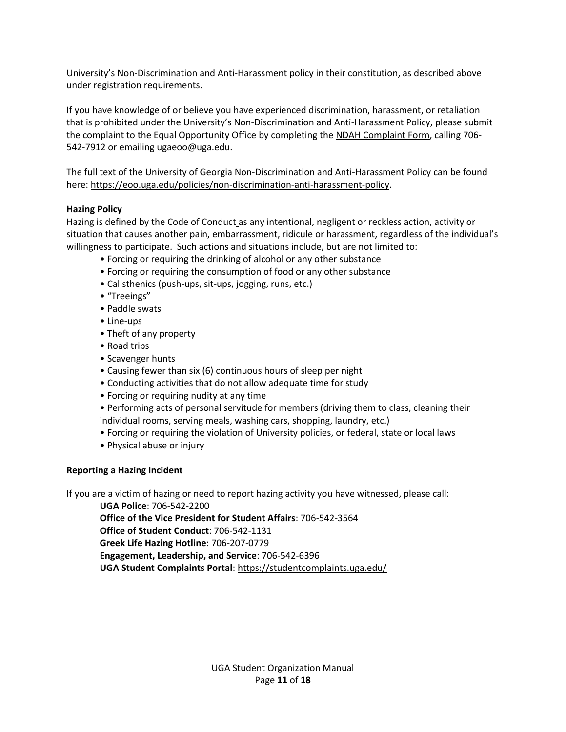University's Non-Discrimination and Anti-Harassment policy in their constitution, as described above under registration requirements.

If you have knowledge of or believe you have experienced discrimination, harassment, or retaliation that is prohibited under the University's Non-Discrimination and Anti-Harassment Policy, please submit the complaint to the Equal Opportunity Office by completing the [NDAH Complaint Form,](https://eoo.uga.edu/NDAH_Complaint_Form) calling 706- 542-7912 or emailin[g ugaeoo@uga.edu.](mailto:ugaeoo@uga.edu)

The full text of the University of Georgia Non-Discrimination and Anti-Harassment Policy can be found here: [https://eoo.uga.edu/policies/non-discrimination-anti-harassment-policy.](https://eoo.uga.edu/policies/non-discrimination-anti-harassment-policy)

## **Hazing Policy**

Hazing is defined by the Code of Conduct as any intentional, negligent or reckless action, activity or situation that causes another pain, embarrassment, ridicule or harassment, regardless of the individual's willingness to participate. Such actions and situations include, but are not limited to:

- Forcing or requiring the drinking of alcohol or any other substance
- Forcing or requiring the consumption of food or any other substance
- Calisthenics (push-ups, sit-ups, jogging, runs, etc.)
- "Treeings"
- Paddle swats
- Line-ups
- Theft of any property
- Road trips
- Scavenger hunts
- Causing fewer than six (6) continuous hours of sleep per night
- Conducting activities that do not allow adequate time for study
- Forcing or requiring nudity at any time
- Performing acts of personal servitude for members (driving them to class, cleaning their individual rooms, serving meals, washing cars, shopping, laundry, etc.)
- Forcing or requiring the violation of University policies, or federal, state or local laws
- Physical abuse or injury

#### **Reporting a Hazing Incident**

If you are a victim of hazing or need to report hazing activity you have witnessed, please call:

**UGA Police**: 706-542-2200

**Office of the Vice President for Student Affairs**: 706-542-3564

**Office of Student Conduct**: 706-542-1131

**Greek Life Hazing Hotline**: 706-207-0779

**Engagement, Leadership, and Service**: 706-542-6396

**UGA Student Complaints Portal**: <https://studentcomplaints.uga.edu/>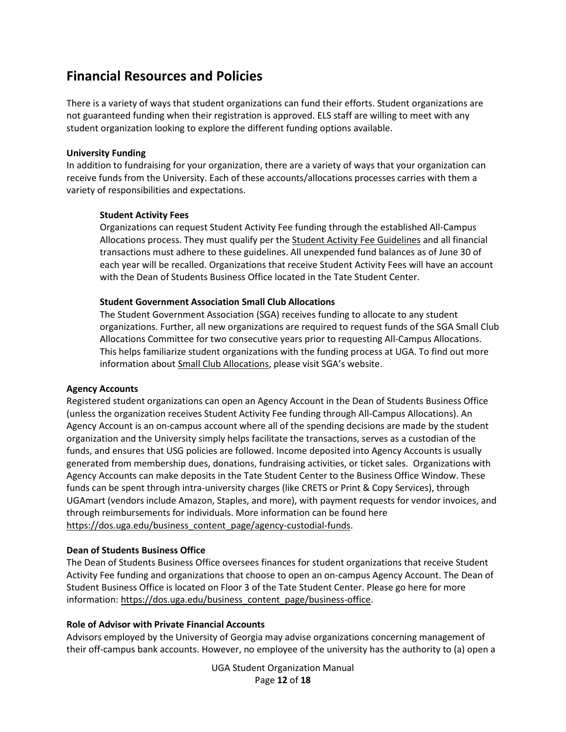# **Financial Resources and Policies**

There is a variety of ways that student organizations can fund their efforts. Student organizations are not guaranteed funding when their registration is approved. ELS staff are willing to meet with any student organization looking to explore the different funding options available.

#### **University Funding**

In addition to fundraising for your organization, there are a variety of ways that your organization can receive funds from the University. Each of these accounts/allocations processes carries with them a variety of responsibilities and expectations.

#### **Student Activity Fees**

Organizations can request Student Activity Fee funding through the established All-Campus Allocations process. They must qualify per the [Student Activity Fee Guidelines](https://dos.uga.edu/business_content_page/activity-fee-guidelines) and all financial transactions must adhere to these guidelines. All unexpended fund balances as of June 30 of each year will be recalled. Organizations that receive Student Activity Fees will have an account with the Dean of Students Business Office located in the Tate Student Center.

#### **Student Government Association Small Club Allocations**

The Student Government Association (SGA) receives funding to allocate to any student organizations. Further, all new organizations are required to request funds of the SGA Small Club Allocations Committee for two consecutive years prior to requesting All-Campus Allocations. This helps familiarize student organizations with the funding process at UGA. To find out more information about Small Club [Allocations](https://sga.uga.edu/content_page/small_club_allocations), please visit SGA's website.

#### **Agency Accounts**

Registered student organizations can open an Agency Account in the Dean of Students Business Office (unless the organization receives Student Activity Fee funding through All-Campus Allocations). An Agency Account is an on-campus account where all of the spending decisions are made by the student organization and the University simply helps facilitate the transactions, serves as a custodian of the funds, and ensures that USG policies are followed. Income deposited into Agency Accounts is usually generated from membership dues, donations, fundraising activities, or ticket sales. Organizations with Agency Accounts can make deposits in the Tate Student Center to the Business Office Window. These funds can be spent through intra-university charges (like CRETS or Print & Copy Services), through UGAmart (vendors include Amazon, Staples, and more), with payment requests for vendor invoices, and through reimbursements for individuals. More information can be found here [https://dos.uga.edu/business\\_content\\_page/agency-custodial-funds.](https://dos.uga.edu/business_content_page/agency-custodial-funds)

#### **Dean of Students Business Office**

The Dean of Students Business Office oversees finances for student organizations that receive Student Activity Fee funding and organizations that choose to open an on-campus Agency Account. The Dean of Student Business Office is located on Floor 3 of the Tate Student Center. Please go here for more information: [https://dos.uga.edu/business\\_content\\_page/business-office.](https://dos.uga.edu/business_content_page/business-office)

#### **Role of Advisor with Private Financial Accounts**

Advisors employed by the University of Georgia may advise organizations concerning management of their off-campus bank accounts. However, no employee of the university has the authority to (a) open a

> UGA Student Organization Manual Page **12** of **18**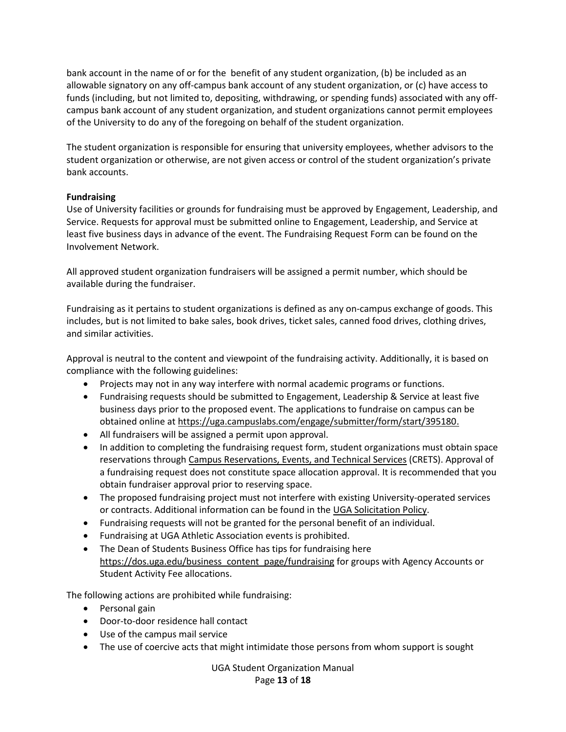bank account in the name of or for the benefit of any student organization, (b) be included as an allowable signatory on any off-campus bank account of any student organization, or (c) have access to funds (including, but not limited to, depositing, withdrawing, or spending funds) associated with any offcampus bank account of any student organization, and student organizations cannot permit employees of the University to do any of the foregoing on behalf of the student organization.

The student organization is responsible for ensuring that university employees, whether advisors to the student organization or otherwise, are not given access or control of the student organization's private bank accounts.

## **Fundraising**

Use of University facilities or grounds for fundraising must be approved by Engagement, Leadership, and Service. Requests for approval must be submitted online to Engagement, Leadership, and Service at least five business days in advance of the event. The Fundraising Request Form can be found on the Involvement Network.

All approved student organization fundraisers will be assigned a permit number, which should be available during the fundraiser.

Fundraising as it pertains to student organizations is defined as any on-campus exchange of goods. This includes, but is not limited to bake sales, book drives, ticket sales, canned food drives, clothing drives, and similar activities.

Approval is neutral to the content and viewpoint of the fundraising activity. Additionally, it is based on compliance with the following guidelines:

- Projects may not in any way interfere with normal academic programs or functions.
- Fundraising requests should be submitted to Engagement, Leadership & Service at least five business days prior to the proposed event. The applications to fundraise on campus can be obtained online a[t https://uga.campuslabs.com/engage/submitter/form/start/395180.](https://uga.campuslabs.com/engage/submitter/form/start/395180)
- All fundraisers will be assigned a permit upon approval.
- In addition to completing the fundraising request form, student organizations must obtain space reservations through [Campus Reservations, Events, and Technical Services](https://tate.uga.edu/campus-reservations/) (CRETS). Approval of a fundraising request does not constitute space allocation approval. It is recommended that you obtain fundraiser approval prior to reserving space.
- The proposed fundraising project must not interfere with existing University-operated services or contracts. Additional information can be found in the [UGA Solicitation Policy.](http://www.policies.uga.edu/FA/nodes/view/772/Solicitation)
- Fundraising requests will not be granted for the personal benefit of an individual.
- Fundraising at UGA Athletic Association events is prohibited.
- The Dean of Students Business Office has tips for fundraising here [https://dos.uga.edu/business\\_content\\_page/fundraising](https://dos.uga.edu/business_content_page/fundraising) for groups with Agency Accounts or Student Activity Fee allocations.

The following actions are prohibited while fundraising:

- Personal gain
- Door-to-door residence hall contact
- Use of the campus mail service
- The use of coercive acts that might intimidate those persons from whom support is sought

UGA Student Organization Manual Page **13** of **18**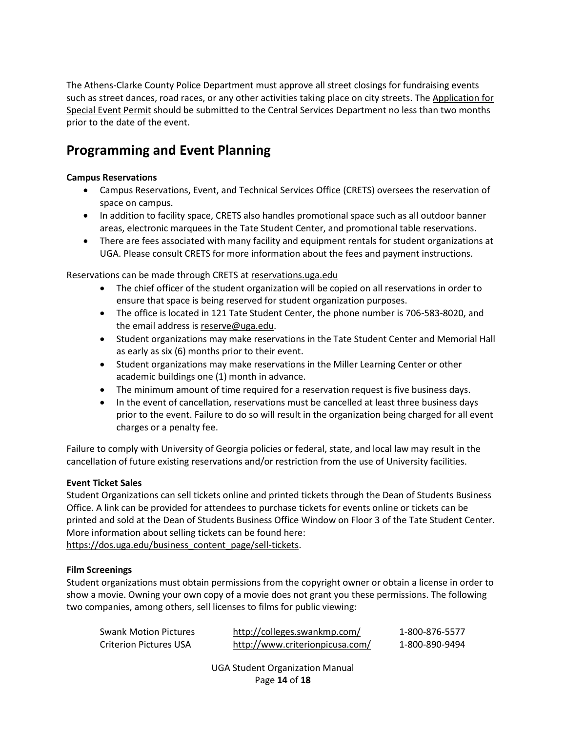The Athens-Clarke County Police Department must approve all street closings for fundraising events such as street dances, road races, or any other activities taking place on city streets. The [Application for](https://www.athensclarkecounty.com/DocumentCenter/View/37463)  [Special Event Permit](https://www.athensclarkecounty.com/DocumentCenter/View/37463) should be submitted to the Central Services Department no less than two months prior to the date of the event.

# **Programming and Event Planning**

## **Campus Reservations**

- Campus Reservations, Event, and Technical Services Office (CRETS) oversees the reservation of space on campus.
- In addition to facility space, CRETS also handles promotional space such as all outdoor banner areas, electronic marquees in the Tate Student Center, and promotional table reservations.
- There are fees associated with many facility and equipment rentals for student organizations at UGA. Please consult CRETS for more information about the fees and payment instructions.

Reservations can be made through CRETS a[t reservations.uga.edu](http://reservations.uga.edu/)

- The chief officer of the student organization will be copied on all reservations in order to ensure that space is being reserved for student organization purposes.
- The office is located in 121 Tate Student Center, the phone number is 706-583-8020, and the email address is [reserve@uga.edu.](mailto:reserve@uga.edu)
- Student organizations may make reservations in the Tate Student Center and Memorial Hall as early as six (6) months prior to their event.
- Student organizations may make reservations in the Miller Learning Center or other academic buildings one (1) month in advance.
- The minimum amount of time required for a reservation request is five business days.
- In the event of cancellation, reservations must be cancelled at least three business days prior to the event. Failure to do so will result in the organization being charged for all event charges or a penalty fee.

Failure to comply with University of Georgia policies or federal, state, and local law may result in the cancellation of future existing reservations and/or restriction from the use of University facilities.

#### **Event Ticket Sales**

Student Organizations can sell tickets online and printed tickets through the Dean of Students Business Office. A link can be provided for attendees to purchase tickets for events online or tickets can be printed and sold at the Dean of Students Business Office Window on Floor 3 of the Tate Student Center. More information about selling tickets can be found here:

[https://dos.uga.edu/business\\_content\\_page/sell-tickets.](https://dos.uga.edu/business_content_page/sell-tickets)

# **Film Screenings**

Student organizations must obtain permissions from the copyright owner or obtain a license in order to show a movie. Owning your own copy of a movie does not grant you these permissions. The following two companies, among others, sell licenses to films for public viewing:

| <b>Swank Motion Pictures</b> | http://colleges.swankmp.com/    | 1-800-876-5577 |
|------------------------------|---------------------------------|----------------|
| Criterion Pictures USA       | http://www.criterionpicusa.com/ | 1-800-890-9494 |

UGA Student Organization Manual Page **14** of **18**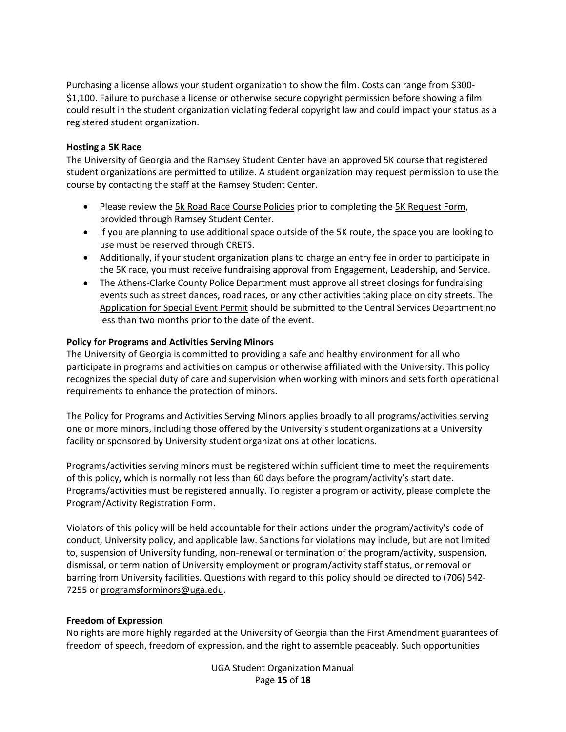Purchasing a license allows your student organization to show the film. Costs can range from \$300- \$1,100. Failure to purchase a license or otherwise secure copyright permission before showing a film could result in the student organization violating federal copyright law and could impact your status as a registered student organization.

#### **Hosting a 5K Race**

The University of Georgia and the Ramsey Student Center have an approved 5K course that registered student organizations are permitted to utilize. A student organization may request permission to use the course by contacting the staff at the Ramsey Student Center.

- Please review the [5k Road Race Course Policies](https://recsports.uga.edu/content_page/5k-road-race-course-policies) prior to completing the [5K Request Form,](https://recsports.uga.edu/content_page/5k-road-race-course-request) provided through Ramsey Student Center.
- If you are planning to use additional space outside of the 5K route, the space you are looking to use must be reserved through CRETS.
- Additionally, if your student organization plans to charge an entry fee in order to participate in the 5K race, you must receive fundraising approval from Engagement, Leadership, and Service.
- The Athens-Clarke County Police Department must approve all street closings for fundraising events such as street dances, road races, or any other activities taking place on city streets. The [Application for Special Event Permit](https://www.athensclarkecounty.com/DocumentCenter/View/37463) should be submitted to the Central Services Department no less than two months prior to the date of the event.

## **Policy for Programs and Activities Serving Minors**

The University of Georgia is committed to providing a safe and healthy environment for all who participate in programs and activities on campus or otherwise affiliated with the University. This policy recognizes the special duty of care and supervision when working with minors and sets forth operational requirements to enhance the protection of minors.

The Policy [for Programs and Activities Serving Minors](https://programsforminors.uga.edu/policy) applies broadly to all programs/activities serving one or more minors, including those offered by the University's student organizations at a University facility or sponsored by University student organizations at other locations.

Programs/activities serving minors must be registered within sufficient time to meet the requirements of this policy, which is normally not less than 60 days before the program/activity's start date. Programs/activities must be registered annually. To register a program or activity, please complete the [Program/Activity Registration Form.](https://programsforminors.uga.edu/program-registration)

Violators of this policy will be held accountable for their actions under the program/activity's code of conduct, University policy, and applicable law. Sanctions for violations may include, but are not limited to, suspension of University funding, non-renewal or termination of the program/activity, suspension, dismissal, or termination of University employment or program/activity staff status, or removal or barring from University facilities. Questions with regard to this policy should be directed to (706) 542 7255 or [programsforminors@uga.edu.](mailto:programsforminors@uga.edu)

#### **Freedom of Expression**

No rights are more highly regarded at the University of Georgia than the First Amendment guarantees of freedom of speech, freedom of expression, and the right to assemble peaceably. Such opportunities

> UGA Student Organization Manual Page **15** of **18**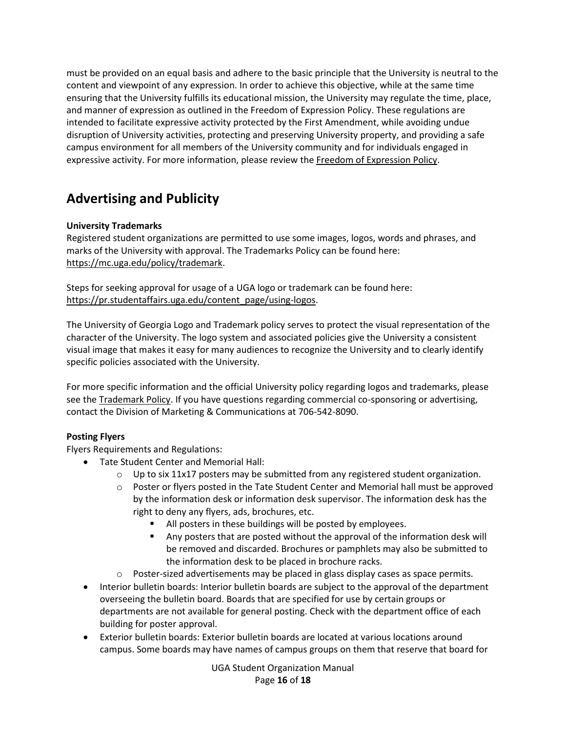must be provided on an equal basis and adhere to the basic principle that the University is neutral to the content and viewpoint of any expression. In order to achieve this objective, while at the same time ensuring that the University fulfills its educational mission, the University may regulate the time, place, and manner of expression as outlined in the Freedom of Expression Policy. These regulations are intended to facilitate expressive activity protected by the First Amendment, while avoiding undue disruption of University activities, protecting and preserving University property, and providing a safe campus environment for all members of the University community and for individuals engaged in expressive activity. For more information, please review the [Freedom of Expression Policy.](http://dos.uga.edu/content_page/freedom-of-expression-policy)

# **Advertising and Publicity**

# **University Trademarks**

Registered student organizations are permitted to use some images, logos, words and phrases, and marks of the University with approval. The Trademarks Policy can be found here: [https://mc.uga.edu/policy/trademark.](https://mc.uga.edu/policy/trademark)

Steps for seeking approval for usage of a UGA logo or trademark can be found here: [https://pr.studentaffairs.uga.edu/content\\_page/using-logos.](https://pr.studentaffairs.uga.edu/content_page/using-logos)

The University of Georgia Logo and Trademark policy serves to protect the visual representation of the character of the University. The logo system and associated policies give the University a consistent visual image that makes it easy for many audiences to recognize the University and to clearly identify specific policies associated with the University.

For more specific information and the official University policy regarding logos and trademarks, please see the [Trademark Policy.](https://mc.uga.edu/policy/trademark) If you have questions regarding commercial co-sponsoring or advertising, contact the Division of Marketing & Communications at 706-542-8090.

# **Posting Flyers**

Flyers Requirements and Regulations:

- Tate Student Center and Memorial Hall:
	- $\circ$  Up to six 11x17 posters may be submitted from any registered student organization.
	- o Poster or flyers posted in the Tate Student Center and Memorial hall must be approved by the information desk or information desk supervisor. The information desk has the right to deny any flyers, ads, brochures, etc.
		- All posters in these buildings will be posted by employees.
		- Any posters that are posted without the approval of the information desk will be removed and discarded. Brochures or pamphlets may also be submitted to the information desk to be placed in brochure racks.
	- o Poster-sized advertisements may be placed in glass display cases as space permits.
- Interior bulletin boards: Interior bulletin boards are subject to the approval of the department overseeing the bulletin board. Boards that are specified for use by certain groups or departments are not available for general posting. Check with the department office of each building for poster approval.
- Exterior bulletin boards: Exterior bulletin boards are located at various locations around campus. Some boards may have names of campus groups on them that reserve that board for

UGA Student Organization Manual Page **16** of **18**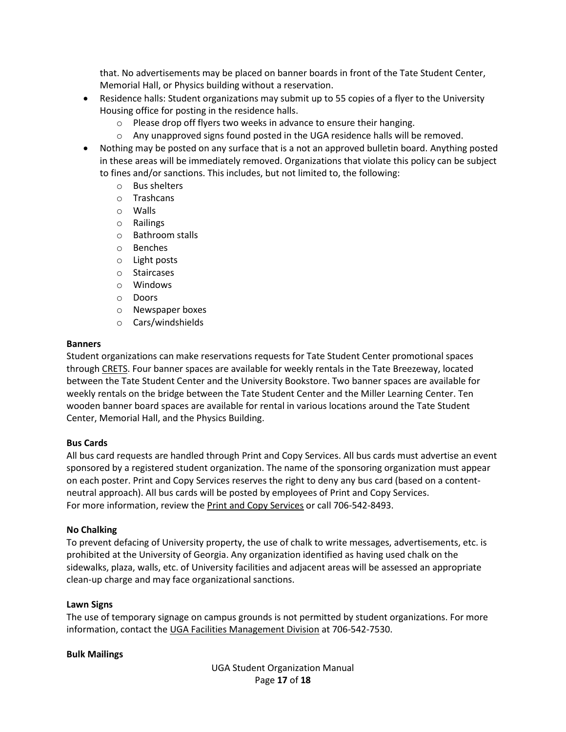that. No advertisements may be placed on banner boards in front of the Tate Student Center, Memorial Hall, or Physics building without a reservation.

- Residence halls: Student organizations may submit up to 55 copies of a flyer to the University Housing office for posting in the residence halls.
	- o Please drop off flyers two weeks in advance to ensure their hanging.
	- o Any unapproved signs found posted in the UGA residence halls will be removed.
- Nothing may be posted on any surface that is a not an approved bulletin board. Anything posted in these areas will be immediately removed. Organizations that violate this policy can be subject to fines and/or sanctions. This includes, but not limited to, the following:
	- o Bus shelters
	- o Trashcans
	- o Walls
	- o Railings
	- o Bathroom stalls
	- o Benches
	- o Light posts
	- o Staircases
	- o Windows
	- o Doors
	- o Newspaper boxes
	- o Cars/windshields

## **Banners**

Student organizations can make reservations requests for Tate Student Center promotional spaces through [CRETS.](https://tate.uga.edu/campus-reservations/) Four banner spaces are available for weekly rentals in the Tate Breezeway, located between the Tate Student Center and the University Bookstore. Two banner spaces are available for weekly rentals on the bridge between the Tate Student Center and the Miller Learning Center. Ten wooden banner board spaces are available for rental in various locations around the Tate Student Center, Memorial Hall, and the Physics Building.

# **Bus Cards**

All bus card requests are handled through Print and Copy Services. All bus cards must advertise an event sponsored by a registered student organization. The name of the sponsoring organization must appear on each poster. Print and Copy Services reserves the right to deny any bus card (based on a contentneutral approach). All bus cards will be posted by employees of Print and Copy Services. For more information, review the [Print and Copy Services](https://tate.uga.edu/print-and-copy/) or call 706-542-8493.

# **No Chalking**

To prevent defacing of University property, the use of chalk to write messages, advertisements, etc. is prohibited at the University of Georgia. Any organization identified as having used chalk on the sidewalks, plaza, walls, etc. of University facilities and adjacent areas will be assessed an appropriate clean-up charge and may face organizational sanctions.

# **Lawn Signs**

The use of temporary signage on campus grounds is not permitted by student organizations. For more information, contact the [UGA Facilities Management Division](https://www.fmd.uga.edu/) at 706-542-7530.

#### **Bulk Mailings**

UGA Student Organization Manual Page **17** of **18**